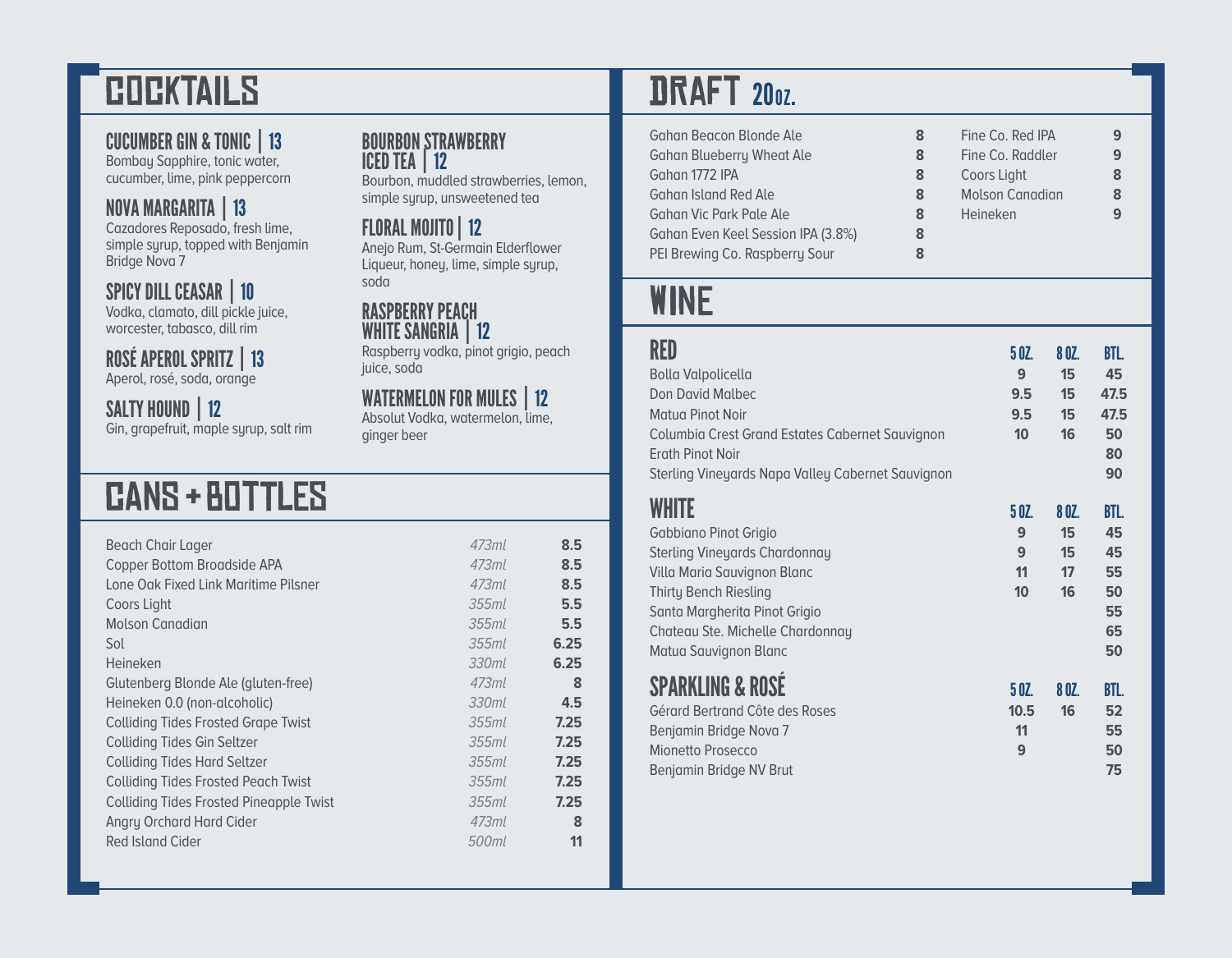# **COCKTAILS**

#### CUCUMBER GIN & TONIC | 13

Bombay Sapphire, tonic water, cucumber, lime, pink peppercorn

### NOVA MARGARITA | 13

Cazadores Reposado, fresh lime, simple syrup, topped with Benjamin Bridge Nova 7

#### SPICY DILL CEASAR | 10

Vodka, clamato, dill pickle juice, worcester, tabasco, dill rim

#### ROSÉ APEROL SPRITZ | 13 Aperol, rosé, soda, orange

SALTY HOUND | 12

Gin, grapefruit, maple syrup, salt rim

# cAnS + bOtTlEs

| Beach Chair Lager                              | 47.3ml   | 8.5  |
|------------------------------------------------|----------|------|
| Copper Bottom Broadside APA                    | 47.3ml   | 8.5  |
| Lone Oak Fixed Link Maritime Pilsner           | 47.3ml   | 8.5  |
| Coors Light                                    | $355$ ml | 5.5  |
| <b>Molson Canadian</b>                         | 355ml    | 5.5  |
| Sol                                            | $355$ ml | 6.25 |
| Heineken                                       | 330ml    | 6.25 |
| Glutenberg Blonde Ale (gluten-free)            | 473ml    | 8    |
| Heineken 0.0 (non-alcoholic)                   | 330ml    | 4.5  |
| <b>Colliding Tides Frosted Grape Twist</b>     | $355$ ml | 7.25 |
| <b>Colliding Tides Gin Seltzer</b>             | $355$ ml | 7.25 |
| <b>Colliding Tides Hard Seltzer</b>            | $355$ ml | 7.25 |
| <b>Colliding Tides Frosted Peach Twist</b>     | 355ml    | 7.25 |
| <b>Colliding Tides Frosted Pineapple Twist</b> | $355$ ml | 7.25 |
| Angry Orchard Hard Cider                       | 473ml    | 8    |
| Red Island Cider                               | 500ml    | 11   |
|                                                |          |      |

#### BOURBON STRAWBERRY ICED TEA | 12

Bourbon, muddled strawberries, lemon, simple syrup, unsweetened tea

#### FLORAL MOJITO | 12

Anejo Rum, St-Germain Elderflower Liqueur, honey, lime, simple syrup, soda

#### RASPBERRY PEACH WHITE SANGRIA | 12

Raspberry vodka, pinot grigio, peach juice, soda

### WATERMELON FOR MULES | 12

Absolut Vodka, watermelon, lime, ginger beer

## **DRAFT 200Z.**

| <b>Gahan Beacon Blonde Ale</b><br><b>Gahan Blueberry Wheat Ale</b><br>Gahan 1772 IPA<br><b>Gahan Island Red Ale</b><br>Gahan Vic Park Pale Ale<br>Gahan Even Keel Session IPA (3.8%)<br>PEI Brewing Co. Raspberry Sour              | 8<br>8<br>8<br>8<br>8<br>8<br>8 | Fine Co. Red IPA<br>Fine Co. Raddler<br>Coors Light<br><b>Molson Canadian</b><br>Heineken |                               | 9<br>9<br>8<br>8<br>9                          |
|-------------------------------------------------------------------------------------------------------------------------------------------------------------------------------------------------------------------------------------|---------------------------------|-------------------------------------------------------------------------------------------|-------------------------------|------------------------------------------------|
| WINE                                                                                                                                                                                                                                |                                 |                                                                                           |                               |                                                |
| RED<br><b>Bolla Valpolicella</b><br><b>Don David Malbec</b><br>Matua Pinot Noir<br>Columbia Crest Grand Estates Cabernet Sauvignon<br><b>Erath Pinot Noir</b><br>Sterling Vineyards Napa Valley Cabernet Sauvignon                  |                                 | 50Z.<br>9<br>9.5<br>9.5<br>10                                                             | 8 OZ.<br>15<br>15<br>15<br>16 | BTL.<br>45<br>47.5<br>47.5<br>50<br>80<br>90   |
| WHITE<br>Gabbiano Pinot Grigio<br><b>Sterling Vineyards Chardonnay</b><br>Villa Maria Sauvignon Blanc<br><b>Thirty Bench Riesling</b><br>Santa Margherita Pinot Grigio<br>Chateau Ste. Michelle Chardonnay<br>Matua Sauvignon Blanc |                                 | 5 OZ.<br>9<br>9<br>11<br>10                                                               | 8 OZ.<br>15<br>15<br>17<br>16 | BTL.<br>45<br>45<br>55<br>50<br>55<br>65<br>50 |
| <b>SPARKLING &amp; ROSE</b><br>Gérard Bertrand Côte des Roses<br>Benjamin Bridge Nova 7<br>Mionetto Prosecco<br>Benjamin Bridge NV Brut                                                                                             |                                 | 50Z<br>10.5<br>11<br>9                                                                    | 8 OZ.<br>16                   | BTL.<br>52<br>55<br>50<br>75                   |